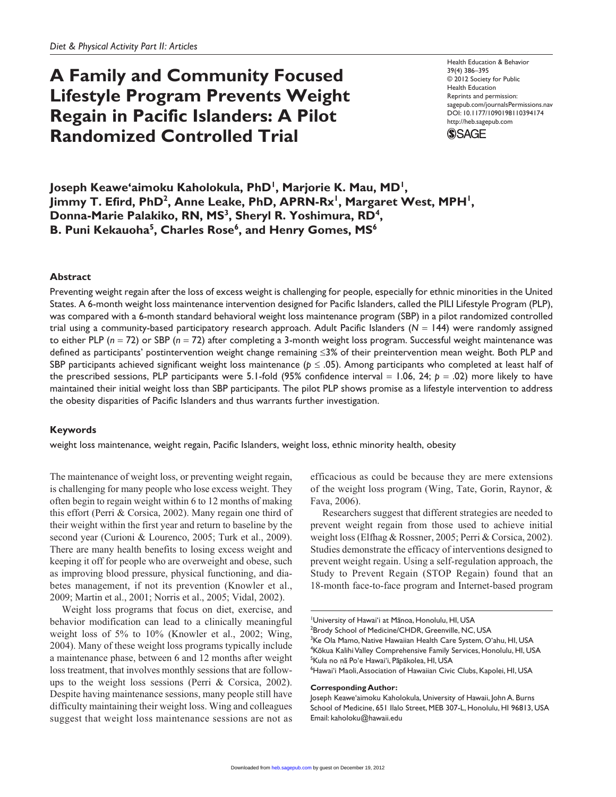# **A Family and Community Focused Lifestyle Program Prevents Weight Regain in Pacific Islanders: A Pilot Randomized Controlled Trial**

Health Education & Behavior 39(4) 386–395 © 2012 Society for Public Health Education Reprints and permission: sagepub.com/journalsPermissions.nav DOI: 10.1177/1090198110394174 http://heb.sagepub.com



**Joseph Keawe'aimoku Kaholokula, PhD1 , Marjorie K. Mau, MD1 , Jimmy T. Efird, PhD<sup>2</sup>, Anne Leake, PhD, APRN-Rx<sup>1</sup>, Margaret West, MPH<sup>1</sup>,** Donna-Marie Palakiko, RN, MS<sup>3</sup>, Sheryl R. Yoshimura, RD<sup>4</sup>, **B. Puni Kekauoha** $^5$ **, Charles Rose** $^6$ **, and Henry Gomes, MS** $^6$ 

## **Abstract**

Preventing weight regain after the loss of excess weight is challenging for people, especially for ethnic minorities in the United States. A 6-month weight loss maintenance intervention designed for Pacific Islanders, called the PILI Lifestyle Program (PLP), was compared with a 6-month standard behavioral weight loss maintenance program (SBP) in a pilot randomized controlled trial using a community-based participatory research approach. Adult Pacific Islanders (*N* = 144) were randomly assigned to either PLP (*n* = 72) or SBP (*n* = 72) after completing a 3-month weight loss program. Successful weight maintenance was defined as participants' postintervention weight change remaining ≤3% of their preintervention mean weight. Both PLP and SBP participants achieved significant weight loss maintenance ( $p \leq .05$ ). Among participants who completed at least half of the prescribed sessions, PLP participants were 5.1-fold (95% confidence interval  $= 1.06$ , 24;  $p = .02$ ) more likely to have maintained their initial weight loss than SBP participants. The pilot PLP shows promise as a lifestyle intervention to address the obesity disparities of Pacific Islanders and thus warrants further investigation.

## **Keywords**

weight loss maintenance, weight regain, Pacific Islanders, weight loss, ethnic minority health, obesity

The maintenance of weight loss, or preventing weight regain, is challenging for many people who lose excess weight. They often begin to regain weight within 6 to 12 months of making this effort (Perri & Corsica, 2002). Many regain one third of their weight within the first year and return to baseline by the second year (Curioni & Lourenco, 2005; Turk et al., 2009). There are many health benefits to losing excess weight and keeping it off for people who are overweight and obese, such as improving blood pressure, physical functioning, and diabetes management, if not its prevention (Knowler et al., 2009; Martin et al., 2001; Norris et al., 2005; Vidal, 2002).

Weight loss programs that focus on diet, exercise, and behavior modification can lead to a clinically meaningful weight loss of 5% to 10% (Knowler et al., 2002; Wing, 2004). Many of these weight loss programs typically include a maintenance phase, between 6 and 12 months after weight loss treatment, that involves monthly sessions that are followups to the weight loss sessions (Perri & Corsica, 2002). Despite having maintenance sessions, many people still have difficulty maintaining their weight loss. Wing and colleagues suggest that weight loss maintenance sessions are not as efficacious as could be because they are mere extensions of the weight loss program (Wing, Tate, Gorin, Raynor, & Fava, 2006).

Researchers suggest that different strategies are needed to prevent weight regain from those used to achieve initial weight loss (Elfhag & Rossner, 2005; Perri & Corsica, 2002). Studies demonstrate the efficacy of interventions designed to prevent weight regain. Using a self-regulation approach, the Study to Prevent Regain (STOP Regain) found that an 18-month face-to-face program and Internet-based program

<sup>1</sup>University of Hawai'i at Manoa, Honolulu, HI, USA <sup>2</sup>Brody School of Medicine/CHDR, Greenville, NC, USA <sup>3</sup>Ke Ola Mamo, Native Hawaiian Health Care System, O'ahu, HI, USA <sup>4</sup>Kōkua Kalihi Valley Comprehensive Family Services, Honolulu, HI, USA <sup>5</sup>Kula no nā Poʻe Hawaiʻi, Pāpākolea, HI, USA 6 Hawai'i Maoli, Association of Hawaiian Civic Clubs, Kapolei, HI, USA

#### **Corresponding Author:**

Joseph Keawe'aimoku Kaholokula, University of Hawaii, John A. Burns School of Medicine, 651 Ilalo Street, MEB 307-L, Honolulu, HI 96813, USA Email: kaholoku@hawaii.edu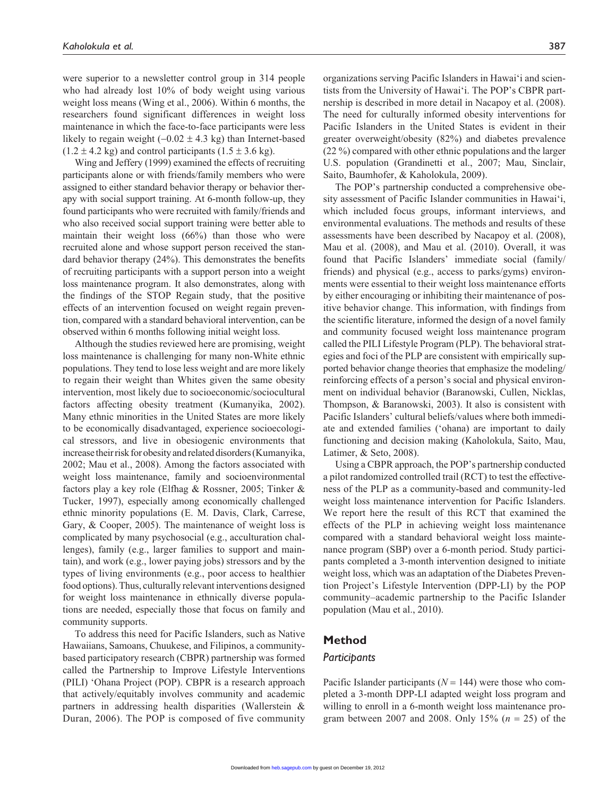were superior to a newsletter control group in 314 people who had already lost 10% of body weight using various weight loss means (Wing et al., 2006). Within 6 months, the researchers found significant differences in weight loss maintenance in which the face-to-face participants were less likely to regain weight  $(-0.02 \pm 4.3 \text{ kg})$  than Internet-based  $(1.2 \pm 4.2 \text{ kg})$  and control participants  $(1.5 \pm 3.6 \text{ kg})$ .

Wing and Jeffery (1999) examined the effects of recruiting participants alone or with friends/family members who were assigned to either standard behavior therapy or behavior therapy with social support training. At 6-month follow-up, they found participants who were recruited with family/friends and who also received social support training were better able to maintain their weight loss (66%) than those who were recruited alone and whose support person received the standard behavior therapy (24%). This demonstrates the benefits of recruiting participants with a support person into a weight loss maintenance program. It also demonstrates, along with the findings of the STOP Regain study, that the positive effects of an intervention focused on weight regain prevention, compared with a standard behavioral intervention, can be observed within 6 months following initial weight loss.

Although the studies reviewed here are promising, weight loss maintenance is challenging for many non-White ethnic populations. They tend to lose less weight and are more likely to regain their weight than Whites given the same obesity intervention, most likely due to socioeconomic/sociocultural factors affecting obesity treatment (Kumanyika, 2002). Many ethnic minorities in the United States are more likely to be economically disadvantaged, experience socioecological stressors, and live in obesiogenic environments that increase their risk for obesity and related disorders (Kumanyika, 2002; Mau et al., 2008). Among the factors associated with weight loss maintenance, family and socioenvironmental factors play a key role (Elfhag & Rossner, 2005; Tinker & Tucker, 1997), especially among economically challenged ethnic minority populations (E. M. Davis, Clark, Carrese, Gary, & Cooper, 2005). The maintenance of weight loss is complicated by many psychosocial (e.g., acculturation challenges), family (e.g., larger families to support and maintain), and work (e.g., lower paying jobs) stressors and by the types of living environments (e.g., poor access to healthier food options). Thus, culturally relevant interventions designed for weight loss maintenance in ethnically diverse populations are needed, especially those that focus on family and community supports.

To address this need for Pacific Islanders, such as Native Hawaiians, Samoans, Chuukese, and Filipinos, a communitybased participatory research (CBPR) partnership was formed called the Partnership to Improve Lifestyle Interventions (PILI) 'Ohana Project (POP). CBPR is a research approach that actively/equitably involves community and academic partners in addressing health disparities (Wallerstein & Duran, 2006). The POP is composed of five community

organizations serving Pacific Islanders in Hawai'i and scientists from the University of Hawai'i. The POP's CBPR partnership is described in more detail in Nacapoy et al. (2008). The need for culturally informed obesity interventions for Pacific Islanders in the United States is evident in their greater overweight/obesity (82%) and diabetes prevalence (22 %) compared with other ethnic populations and the larger U.S. population (Grandinetti et al., 2007; Mau, Sinclair, Saito, Baumhofer, & Kaholokula, 2009).

The POP's partnership conducted a comprehensive obesity assessment of Pacific Islander communities in Hawai'i, which included focus groups, informant interviews, and environmental evaluations. The methods and results of these assessments have been described by Nacapoy et al. (2008), Mau et al. (2008), and Mau et al. (2010). Overall, it was found that Pacific Islanders' immediate social (family/ friends) and physical (e.g., access to parks/gyms) environments were essential to their weight loss maintenance efforts by either encouraging or inhibiting their maintenance of positive behavior change. This information, with findings from the scientific literature, informed the design of a novel family and community focused weight loss maintenance program called the PILI Lifestyle Program (PLP). The behavioral strategies and foci of the PLP are consistent with empirically supported behavior change theories that emphasize the modeling/ reinforcing effects of a person's social and physical environment on individual behavior (Baranowski, Cullen, Nicklas, Thompson, & Baranowski, 2003). It also is consistent with Pacific Islanders' cultural beliefs/values where both immediate and extended families ('ohana) are important to daily functioning and decision making (Kaholokula, Saito, Mau, Latimer, & Seto, 2008).

Using a CBPR approach, the POP's partnership conducted a pilot randomized controlled trail (RCT) to test the effectiveness of the PLP as a community-based and community-led weight loss maintenance intervention for Pacific Islanders. We report here the result of this RCT that examined the effects of the PLP in achieving weight loss maintenance compared with a standard behavioral weight loss maintenance program (SBP) over a 6-month period. Study participants completed a 3-month intervention designed to initiate weight loss, which was an adaptation of the Diabetes Prevention Project's Lifestyle Intervention (DPP-LI) by the POP community–academic partnership to the Pacific Islander population (Mau et al., 2010).

## **Method**

## *Participants*

Pacific Islander participants ( $N = 144$ ) were those who completed a 3-month DPP-LI adapted weight loss program and willing to enroll in a 6-month weight loss maintenance program between 2007 and 2008. Only 15% (*n* = 25) of the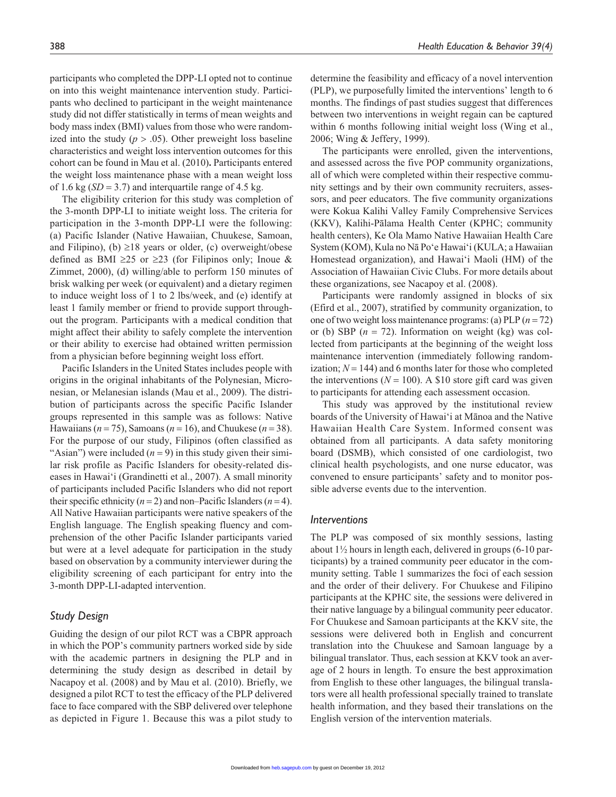participants who completed the DPP-LI opted not to continue on into this weight maintenance intervention study. Participants who declined to participant in the weight maintenance study did not differ statistically in terms of mean weights and body mass index (BMI) values from those who were randomized into the study  $(p > .05)$ . Other preweight loss baseline characteristics and weight loss intervention outcomes for this cohort can be found in Mau et al. (2010)**.** Participants entered the weight loss maintenance phase with a mean weight loss of 1.6 kg  $(SD = 3.7)$  and interquartile range of 4.5 kg.

The eligibility criterion for this study was completion of the 3-month DPP-LI to initiate weight loss. The criteria for participation in the 3-month DPP-LI were the following: (a) Pacific Islander (Native Hawaiian, Chuukese, Samoan, and Filipino), (b)  $\geq$ 18 years or older, (c) overweight/obese defined as BMI  $\geq 25$  or  $\geq 23$  (for Filipinos only; Inoue & Zimmet, 2000), (d) willing/able to perform 150 minutes of brisk walking per week (or equivalent) and a dietary regimen to induce weight loss of 1 to 2 lbs/week, and (e) identify at least 1 family member or friend to provide support throughout the program. Participants with a medical condition that might affect their ability to safely complete the intervention or their ability to exercise had obtained written permission from a physician before beginning weight loss effort.

Pacific Islanders in the United States includes people with origins in the original inhabitants of the Polynesian, Micronesian, or Melanesian islands (Mau et al., 2009). The distribution of participants across the specific Pacific Islander groups represented in this sample was as follows: Native Hawaiians ( $n = 75$ ), Samoans ( $n = 16$ ), and Chuukese ( $n = 38$ ). For the purpose of our study, Filipinos (often classified as "Asian") were included  $(n = 9)$  in this study given their similar risk profile as Pacific Islanders for obesity-related diseases in Hawai'i (Grandinetti et al., 2007). A small minority of participants included Pacific Islanders who did not report their specific ethnicity  $(n = 2)$  and non–Pacific Islanders  $(n = 4)$ . All Native Hawaiian participants were native speakers of the English language. The English speaking fluency and comprehension of the other Pacific Islander participants varied but were at a level adequate for participation in the study based on observation by a community interviewer during the eligibility screening of each participant for entry into the 3-month DPP-LI-adapted intervention.

## *Study Design*

Guiding the design of our pilot RCT was a CBPR approach in which the POP's community partners worked side by side with the academic partners in designing the PLP and in determining the study design as described in detail by Nacapoy et al. (2008) and by Mau et al. (2010). Briefly, we designed a pilot RCT to test the efficacy of the PLP delivered face to face compared with the SBP delivered over telephone as depicted in Figure 1. Because this was a pilot study to determine the feasibility and efficacy of a novel intervention (PLP), we purposefully limited the interventions' length to 6 months. The findings of past studies suggest that differences between two interventions in weight regain can be captured within 6 months following initial weight loss (Wing et al., 2006; Wing & Jeffery, 1999).

The participants were enrolled, given the interventions, and assessed across the five POP community organizations, all of which were completed within their respective community settings and by their own community recruiters, assessors, and peer educators. The five community organizations were Kokua Kalihi Valley Family Comprehensive Services (KKV), Kalihi-Pālama Health Center (KPHC; community health centers), Ke Ola Mamo Native Hawaiian Health Care System (KOM), Kula no Nā Po'e Hawai'i (KULA; a Hawaiian Homestead organization), and Hawai'i Maoli (HM) of the Association of Hawaiian Civic Clubs. For more details about these organizations, see Nacapoy et al. (2008).

Participants were randomly assigned in blocks of six (Efird et al., 2007), stratified by community organization, to one of two weight loss maintenance programs: (a) PLP (*n* = 72) or (b) SBP (*n* = 72). Information on weight (kg) was collected from participants at the beginning of the weight loss maintenance intervention (immediately following randomization;  $N = 144$ ) and 6 months later for those who completed the interventions ( $N = 100$ ). A \$10 store gift card was given to participants for attending each assessment occasion.

This study was approved by the institutional review boards of the University of Hawai'i at Mānoa and the Native Hawaiian Health Care System. Informed consent was obtained from all participants. A data safety monitoring board (DSMB), which consisted of one cardiologist, two clinical health psychologists, and one nurse educator, was convened to ensure participants' safety and to monitor possible adverse events due to the intervention.

#### *Interventions*

The PLP was composed of six monthly sessions, lasting about 1½ hours in length each, delivered in groups (6-10 participants) by a trained community peer educator in the community setting. Table 1 summarizes the foci of each session and the order of their delivery. For Chuukese and Filipino participants at the KPHC site, the sessions were delivered in their native language by a bilingual community peer educator. For Chuukese and Samoan participants at the KKV site, the sessions were delivered both in English and concurrent translation into the Chuukese and Samoan language by a bilingual translator. Thus, each session at KKV took an average of 2 hours in length. To ensure the best approximation from English to these other languages, the bilingual translators were all health professional specially trained to translate health information, and they based their translations on the English version of the intervention materials.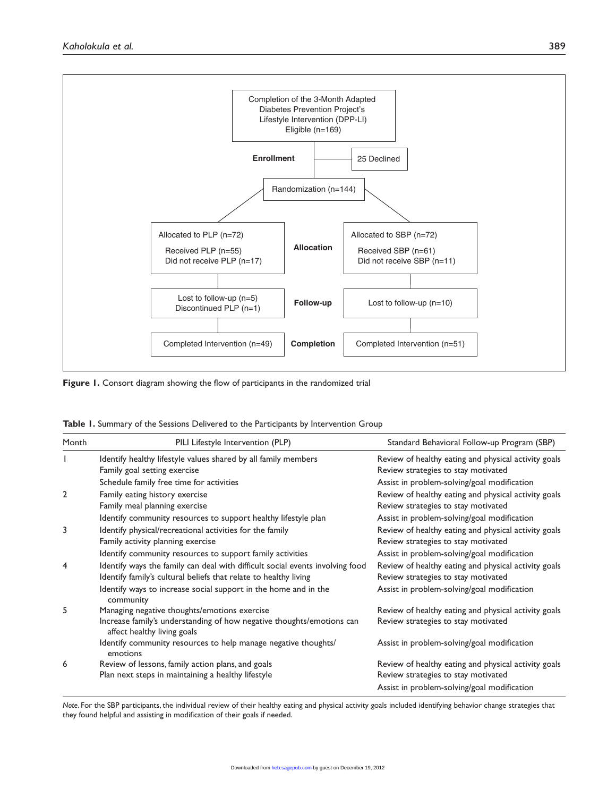

**Figure 1.** Consort diagram showing the flow of participants in the randomized trial

| Table 1. Summary of the Sessions Delivered to the Participants by Intervention Group |  |
|--------------------------------------------------------------------------------------|--|
|--------------------------------------------------------------------------------------|--|

| Month          | PILI Lifestyle Intervention (PLP)                                                                                                                    | Standard Behavioral Follow-up Program (SBP)                                                 |
|----------------|------------------------------------------------------------------------------------------------------------------------------------------------------|---------------------------------------------------------------------------------------------|
|                | Identify healthy lifestyle values shared by all family members<br>Family goal setting exercise                                                       | Review of healthy eating and physical activity goals<br>Review strategies to stay motivated |
|                | Schedule family free time for activities                                                                                                             | Assist in problem-solving/goal modification                                                 |
| $\overline{2}$ | Family eating history exercise<br>Family meal planning exercise                                                                                      | Review of healthy eating and physical activity goals<br>Review strategies to stay motivated |
|                | Identify community resources to support healthy lifestyle plan                                                                                       | Assist in problem-solving/goal modification                                                 |
| 3              | Identify physical/recreational activities for the family<br>Family activity planning exercise                                                        | Review of healthy eating and physical activity goals<br>Review strategies to stay motivated |
|                | Identify community resources to support family activities                                                                                            | Assist in problem-solving/goal modification                                                 |
| 4              | Identify ways the family can deal with difficult social events involving food<br>Identify family's cultural beliefs that relate to healthy living    | Review of healthy eating and physical activity goals<br>Review strategies to stay motivated |
|                | Identify ways to increase social support in the home and in the<br>community                                                                         | Assist in problem-solving/goal modification                                                 |
| 5              | Managing negative thoughts/emotions exercise<br>Increase family's understanding of how negative thoughts/emotions can<br>affect healthy living goals | Review of healthy eating and physical activity goals<br>Review strategies to stay motivated |
|                | Identify community resources to help manage negative thoughts/<br>emotions                                                                           | Assist in problem-solving/goal modification                                                 |
| 6              | Review of lessons, family action plans, and goals<br>Plan next steps in maintaining a healthy lifestyle                                              | Review of healthy eating and physical activity goals<br>Review strategies to stay motivated |
|                |                                                                                                                                                      | Assist in problem-solving/goal modification                                                 |

*Note*. For the SBP participants, the individual review of their healthy eating and physical activity goals included identifying behavior change strategies that they found helpful and assisting in modification of their goals if needed.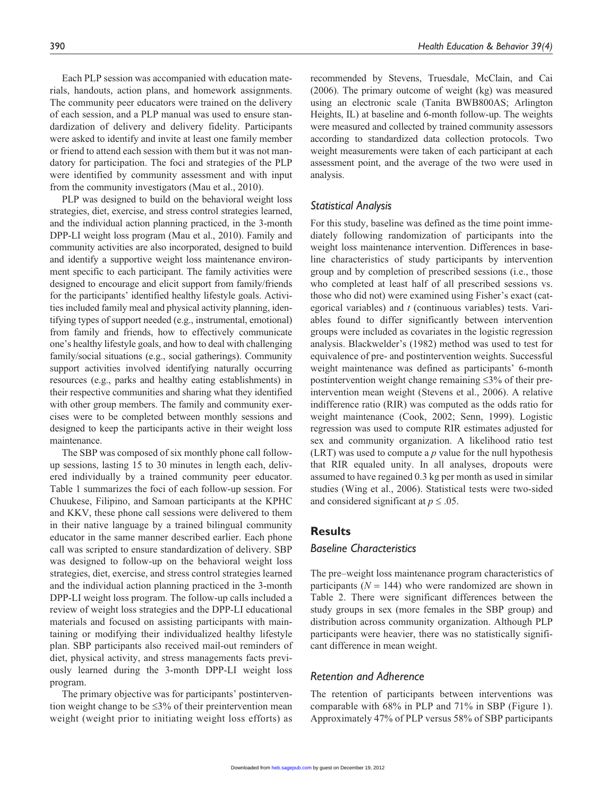Each PLP session was accompanied with education materials, handouts, action plans, and homework assignments. The community peer educators were trained on the delivery of each session, and a PLP manual was used to ensure standardization of delivery and delivery fidelity. Participants were asked to identify and invite at least one family member or friend to attend each session with them but it was not mandatory for participation. The foci and strategies of the PLP were identified by community assessment and with input from the community investigators (Mau et al., 2010).

PLP was designed to build on the behavioral weight loss strategies, diet, exercise, and stress control strategies learned, and the individual action planning practiced, in the 3-month DPP-LI weight loss program (Mau et al., 2010). Family and community activities are also incorporated, designed to build and identify a supportive weight loss maintenance environment specific to each participant. The family activities were designed to encourage and elicit support from family/friends for the participants' identified healthy lifestyle goals. Activities included family meal and physical activity planning, identifying types of support needed (e.g., instrumental, emotional) from family and friends, how to effectively communicate one's healthy lifestyle goals, and how to deal with challenging family/social situations (e.g., social gatherings). Community support activities involved identifying naturally occurring resources (e.g., parks and healthy eating establishments) in their respective communities and sharing what they identified with other group members. The family and community exercises were to be completed between monthly sessions and designed to keep the participants active in their weight loss maintenance.

The SBP was composed of six monthly phone call followup sessions, lasting 15 to 30 minutes in length each, delivered individually by a trained community peer educator. Table 1 summarizes the foci of each follow-up session. For Chuukese, Filipino, and Samoan participants at the KPHC and KKV, these phone call sessions were delivered to them in their native language by a trained bilingual community educator in the same manner described earlier. Each phone call was scripted to ensure standardization of delivery. SBP was designed to follow-up on the behavioral weight loss strategies, diet, exercise, and stress control strategies learned and the individual action planning practiced in the 3-month DPP-LI weight loss program. The follow-up calls included a review of weight loss strategies and the DPP-LI educational materials and focused on assisting participants with maintaining or modifying their individualized healthy lifestyle plan. SBP participants also received mail-out reminders of diet, physical activity, and stress managements facts previously learned during the 3-month DPP-LI weight loss program.

The primary objective was for participants' postintervention weight change to be ≤3% of their preintervention mean weight (weight prior to initiating weight loss efforts) as recommended by Stevens, Truesdale, McClain, and Cai (2006). The primary outcome of weight (kg) was measured using an electronic scale (Tanita BWB800AS; Arlington Heights, IL) at baseline and 6-month follow-up. The weights were measured and collected by trained community assessors according to standardized data collection protocols. Two weight measurements were taken of each participant at each assessment point, and the average of the two were used in analysis.

## *Statistical Analysis*

For this study, baseline was defined as the time point immediately following randomization of participants into the weight loss maintenance intervention. Differences in baseline characteristics of study participants by intervention group and by completion of prescribed sessions (i.e., those who completed at least half of all prescribed sessions vs. those who did not) were examined using Fisher's exact (categorical variables) and *t* (continuous variables) tests. Variables found to differ significantly between intervention groups were included as covariates in the logistic regression analysis. Blackwelder's (1982) method was used to test for equivalence of pre- and postintervention weights. Successful weight maintenance was defined as participants' 6-month postintervention weight change remaining ≤3% of their preintervention mean weight (Stevens et al., 2006). A relative indifference ratio (RIR) was computed as the odds ratio for weight maintenance (Cook, 2002; Senn, 1999). Logistic regression was used to compute RIR estimates adjusted for sex and community organization. A likelihood ratio test (LRT) was used to compute a *p* value for the null hypothesis that RIR equaled unity. In all analyses, dropouts were assumed to have regained 0.3 kg per month as used in similar studies (Wing et al., 2006). Statistical tests were two-sided and considered significant at  $p \leq 0.05$ .

## **Results**

## *Baseline Characteristics*

The pre–weight loss maintenance program characteristics of participants ( $N = 144$ ) who were randomized are shown in Table 2. There were significant differences between the study groups in sex (more females in the SBP group) and distribution across community organization. Although PLP participants were heavier, there was no statistically significant difference in mean weight.

## *Retention and Adherence*

The retention of participants between interventions was comparable with 68% in PLP and 71% in SBP (Figure 1). Approximately 47% of PLP versus 58% of SBP participants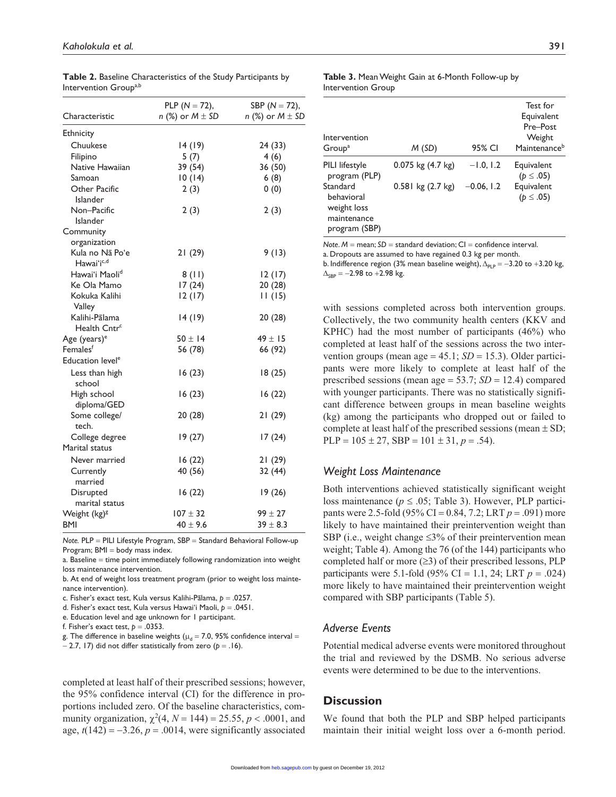| Characteristic                            | PLP ( $N = 72$ ),<br>n (%) or $M \pm SD$ | SBP ( $N = 72$ ),<br>n (%) or $M \pm SD$ |
|-------------------------------------------|------------------------------------------|------------------------------------------|
| Ethnicity                                 |                                          |                                          |
| Chuukese                                  | 14 (19)                                  | 24 (33)                                  |
| Filipino                                  | 5(7)                                     | 4(6)                                     |
| Native Hawaiian                           | 39 (54)                                  | 36 (50)                                  |
| Samoan                                    | 10(14)                                   | 6(8)                                     |
| Other Pacific<br><b>Islander</b>          | 2(3)                                     | 0(0)                                     |
| Non-Pacific<br><b>Islander</b>            | 2(3)                                     | 2(3)                                     |
| Community                                 |                                          |                                          |
| organization                              |                                          |                                          |
| Kula no Nã Poʻe<br>Hawaiʻi <sup>c,d</sup> | 21(29)                                   | 9(13)                                    |
| Hawaiʻi Maoli <sup>d</sup>                | 8(11)                                    | 12(17)                                   |
| Ke Ola Mamo                               | 17(24)                                   | 20(28)                                   |
| Kokuka Kalihi<br>Valley                   | 12 (17)                                  | 11(15)                                   |
| Kalihi-Palama<br>Health Cntr <sup>c</sup> | 14 (19)                                  | 20(28)                                   |
| Age (years) <sup>e</sup>                  | $50 \pm 14$                              | $49 \pm 15$                              |
| Femalesf                                  | 56 (78)                                  | 66 (92)                                  |
| Education level <sup>e</sup>              |                                          |                                          |
| Less than high<br>school                  | 16 (23)                                  | 18(25)                                   |
| High school<br>diploma/GED                | 16(23)                                   | 16(22)                                   |
| Some college/<br>tech.                    | 20(28)                                   | 21(29)                                   |
| College degree                            | 19 (27)                                  | 17 (24)                                  |
| Marital status                            |                                          |                                          |
| Never married                             | 16 (22)                                  | 21 (29)                                  |
| Currently<br>married                      | 40 (56)                                  | 32 (44)                                  |
| Disrupted<br>marital status               | 16 (22)                                  | 19(26)                                   |
| Weight (kg) <sup>g</sup>                  | $107 \pm 32$                             | $99 \pm 27$                              |
| <b>BMI</b>                                | $40 \pm 9.6$                             | $39 \pm 8.3$                             |

**Table 2.** Baseline Characteristics of the Study Participants by Intervention Group<sup>a,b</sup>

|  | Note. $PLP = PILI$ Lifestyle Program, $SBP = Standard Behavioral Follow-up$ |  |  |  |  |          |  |
|--|-----------------------------------------------------------------------------|--|--|--|--|----------|--|
|  | Program; BMI = body mass index.                                             |  |  |  |  |          |  |
|  |                                                                             |  |  |  |  | $\cdots$ |  |

a. Baseline = time point immediately following randomization into weight loss maintenance intervention.

b. At end of weight loss treatment program (prior to weight loss maintenance intervention).

c. Fisher's exact test, Kula versus Kalihi-Palama, *p* = .0257.

d. Fisher's exact test, Kula versus Hawai'i Maoli, *p* = .0451.

e. Education level and age unknown for 1 participant.

f. Fisher's exact test,  $p = .0353$ .

g. The difference in baseline weights ( $\mu_d$  = 7.0, 95% confidence interval =  $-2.7$ , 17) did not differ statistically from zero ( $p = 0.16$ ).

completed at least half of their prescribed sessions; however, the 95% confidence interval (CI) for the difference in proportions included zero. Of the baseline characteristics, community organization,  $\chi^2(4, N = 144) = 25.55, p < .0001$ , and age,  $t(142) = -3.26$ ,  $p = .0014$ , were significantly associated

| <b>Table 3.</b> Mean Weight Gain at 6-Month Follow-up by |  |
|----------------------------------------------------------|--|
| Intervention Group                                       |  |

| Intervention<br>Group <sup>a</sup>                                                                       | M(SD)                                          | 95% CI                      | Test for<br>Equivalent<br>Pre-Post<br>Weight<br>Maintenance <sup>b</sup> |
|----------------------------------------------------------------------------------------------------------|------------------------------------------------|-----------------------------|--------------------------------------------------------------------------|
| PILI lifestyle<br>program (PLP)<br>Standard<br>behavioral<br>weight loss<br>maintenance<br>program (SBP) | $0.075$ kg $(4.7$ kg)<br>$0.581$ kg $(2.7$ kg) | $-1.0, 1.2$<br>$-0.06, 1.2$ | Equivalent<br>$(p \le .05)$<br>Equivalent<br>$(p \le .05)$               |

*Note. M* = mean; *SD* = standard deviation; CI = confidence interval.

a. Dropouts are assumed to have regained 0.3 kg per month.

b. Indifference region (3% mean baseline weight),  $\Delta_{\text{PLP}} = -3.20$  to +3.20 kg,  $\Delta_{\text{cusp}} = -2.98$  to +2.98 kg.

with sessions completed across both intervention groups. Collectively, the two community health centers (KKV and KPHC) had the most number of participants (46%) who completed at least half of the sessions across the two intervention groups (mean age  $= 45.1$ ; *SD*  $= 15.3$ ). Older participants were more likely to complete at least half of the prescribed sessions (mean age = 53.7; *SD* = 12.4) compared with younger participants. There was no statistically significant difference between groups in mean baseline weights (kg) among the participants who dropped out or failed to complete at least half of the prescribed sessions (mean  $\pm$  SD;  $PLP = 105 \pm 27$ ,  $SBP = 101 \pm 31$ ,  $p = .54$ ).

## *Weight Loss Maintenance*

Both interventions achieved statistically significant weight loss maintenance ( $p \le 0.05$ ; Table 3). However, PLP participants were 2.5-fold (95% CI = 0.84, 7.2; LRT *p* = .091) more likely to have maintained their preintervention weight than SBP (i.e., weight change  $\leq 3\%$  of their preintervention mean weight; Table 4). Among the 76 (of the 144) participants who completed half or more  $(\geq 3)$  of their prescribed lessons, PLP participants were 5.1-fold (95% CI = 1.1, 24; LRT *p* = .024) more likely to have maintained their preintervention weight compared with SBP participants (Table 5).

# *Adverse Events*

Potential medical adverse events were monitored throughout the trial and reviewed by the DSMB. No serious adverse events were determined to be due to the interventions.

# **Discussion**

We found that both the PLP and SBP helped participants maintain their initial weight loss over a 6-month period.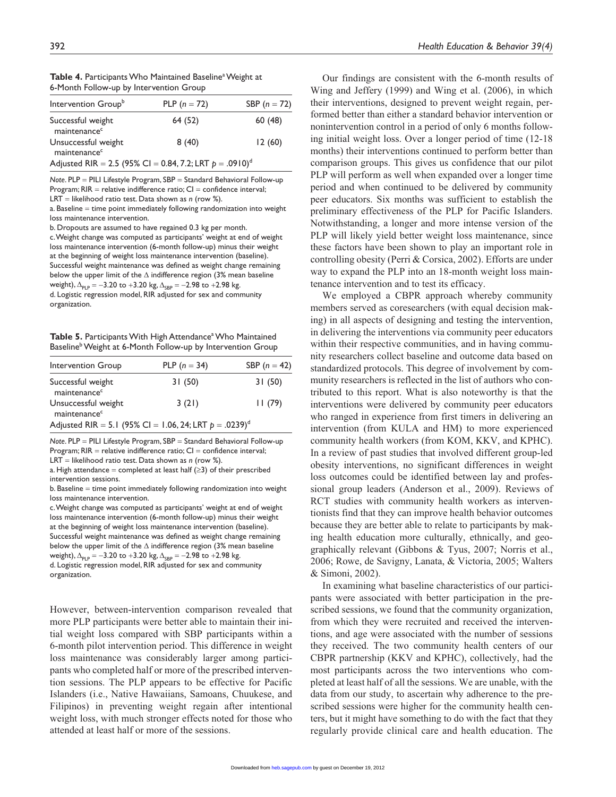| <b>Table 4.</b> Participants Who Maintained Baseline <sup>a</sup> Weight at |
|-----------------------------------------------------------------------------|
| 6-Month Follow-up by Intervention Group                                     |

| Intervention Group <sup>b</sup>                                        | PLP $(n = 72)$ | SBP $(n = 72)$ |
|------------------------------------------------------------------------|----------------|----------------|
| Successful weight<br>maintenance <sup>c</sup>                          | 64 (52)        | 60(48)         |
| Unsuccessful weight<br>maintenance <sup>c</sup>                        | 8(40)          | 12(60)         |
| Adjusted RIR = 2.5 (95% CI = 0.84, 7.2; LRT $p = .0910$ ) <sup>d</sup> |                |                |

*Note*. PLP = PILI Lifestyle Program, SBP = Standard Behavioral Follow-up Program;  $RIR$  = relative indifference ratio;  $Cl$  = confidence interval; LRT = likelihood ratio test. Data shown as *n* (row %).

a. Baseline = time point immediately following randomization into weight loss maintenance intervention.

b. Dropouts are assumed to have regained 0.3 kg per month.

c. Weight change was computed as participants' weight at end of weight loss maintenance intervention (6-month follow-up) minus their weight at the beginning of weight loss maintenance intervention (baseline). Successful weight maintenance was defined as weight change remaining below the upper limit of the  $\Delta$  indifference region (3% mean baseline weight),  $\Delta_{PLP} = -3.20$  to +3.20 kg,  $\Delta_{SBP} = -2.98$  to +2.98 kg. d. Logistic regression model, RIR adjusted for sex and community organization.

Table 5. Participants With High Attendance<sup>a</sup> Who Maintained Baseline<sup>b</sup> Weight at 6-Month Follow-up by Intervention Group

| Intervention Group                                        | PLP $(n = 34)$ | SBP $(n = 42)$ |
|-----------------------------------------------------------|----------------|----------------|
| Successful weight<br>maintenance <sup>c</sup>             | 31(50)         | 31(50)         |
| Unsuccessful weight<br>maintenance <sup>c</sup>           | 3(21)          | 11(79)         |
| Adjusted RIR = 5.1 (95% CI = 1.06, 24; LRT $p = .0239)^d$ |                |                |

*Note*. PLP = PILI Lifestyle Program, SBP = Standard Behavioral Follow-up Program;  $RIR$  = relative indifference ratio;  $CI$  = confidence interval; LRT = likelihood ratio test. Data shown as *n* (row %).

a. High attendance = completed at least half  $(≥3)$  of their prescribed intervention sessions.

b. Baseline = time point immediately following randomization into weight loss maintenance intervention.

c. Weight change was computed as participants' weight at end of weight loss maintenance intervention (6-month follow-up) minus their weight at the beginning of weight loss maintenance intervention (baseline). Successful weight maintenance was defined as weight change remaining below the upper limit of the  $\Delta$  indifference region (3% mean baseline weight),  $\Delta_{PLP} = -3.20$  to +3.20 kg,  $\Delta_{SBP} = -2.98$  to +2.98 kg. d. Logistic regression model, RIR adjusted for sex and community

organization.

However, between-intervention comparison revealed that more PLP participants were better able to maintain their initial weight loss compared with SBP participants within a 6-month pilot intervention period. This difference in weight loss maintenance was considerably larger among participants who completed half or more of the prescribed intervention sessions. The PLP appears to be effective for Pacific Islanders (i.e., Native Hawaiians, Samoans, Chuukese, and Filipinos) in preventing weight regain after intentional weight loss, with much stronger effects noted for those who attended at least half or more of the sessions.

Our findings are consistent with the 6-month results of Wing and Jeffery (1999) and Wing et al. (2006), in which their interventions, designed to prevent weight regain, performed better than either a standard behavior intervention or nonintervention control in a period of only 6 months following initial weight loss. Over a longer period of time (12-18 months) their interventions continued to perform better than comparison groups. This gives us confidence that our pilot PLP will perform as well when expanded over a longer time period and when continued to be delivered by community peer educators. Six months was sufficient to establish the preliminary effectiveness of the PLP for Pacific Islanders. Notwithstanding, a longer and more intense version of the PLP will likely yield better weight loss maintenance, since these factors have been shown to play an important role in controlling obesity (Perri & Corsica, 2002). Efforts are under way to expand the PLP into an 18-month weight loss maintenance intervention and to test its efficacy.

We employed a CBPR approach whereby community members served as coresearchers (with equal decision making) in all aspects of designing and testing the intervention, in delivering the interventions via community peer educators within their respective communities, and in having community researchers collect baseline and outcome data based on standardized protocols. This degree of involvement by community researchers is reflected in the list of authors who contributed to this report. What is also noteworthy is that the interventions were delivered by community peer educators who ranged in experience from first timers in delivering an intervention (from KULA and HM) to more experienced community health workers (from KOM, KKV, and KPHC). In a review of past studies that involved different group-led obesity interventions, no significant differences in weight loss outcomes could be identified between lay and professional group leaders (Anderson et al., 2009). Reviews of RCT studies with community health workers as interventionists find that they can improve health behavior outcomes because they are better able to relate to participants by making health education more culturally, ethnically, and geographically relevant (Gibbons & Tyus, 2007; Norris et al., 2006; Rowe, de Savigny, Lanata, & Victoria, 2005; Walters & Simoni, 2002).

In examining what baseline characteristics of our participants were associated with better participation in the prescribed sessions, we found that the community organization, from which they were recruited and received the interventions, and age were associated with the number of sessions they received. The two community health centers of our CBPR partnership (KKV and KPHC), collectively, had the most participants across the two interventions who completed at least half of all the sessions. We are unable, with the data from our study, to ascertain why adherence to the prescribed sessions were higher for the community health centers, but it might have something to do with the fact that they regularly provide clinical care and health education. The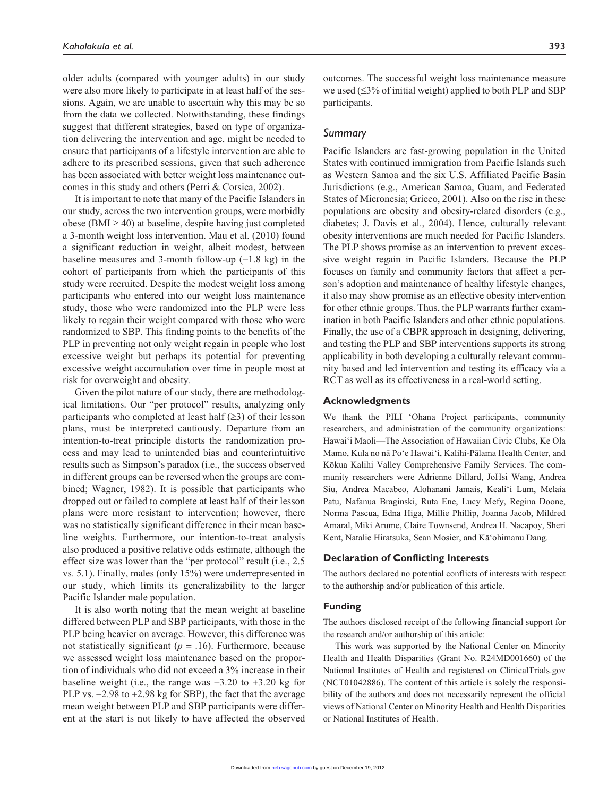older adults (compared with younger adults) in our study were also more likely to participate in at least half of the sessions. Again, we are unable to ascertain why this may be so from the data we collected. Notwithstanding, these findings suggest that different strategies, based on type of organization delivering the intervention and age, might be needed to ensure that participants of a lifestyle intervention are able to adhere to its prescribed sessions, given that such adherence has been associated with better weight loss maintenance outcomes in this study and others (Perri & Corsica, 2002).

It is important to note that many of the Pacific Islanders in our study, across the two intervention groups, were morbidly obese (BMI  $\geq$  40) at baseline, despite having just completed a 3-month weight loss intervention. Mau et al. (2010) found a significant reduction in weight, albeit modest, between baseline measures and 3-month follow-up  $(-1.8 \text{ kg})$  in the cohort of participants from which the participants of this study were recruited. Despite the modest weight loss among participants who entered into our weight loss maintenance study, those who were randomized into the PLP were less likely to regain their weight compared with those who were randomized to SBP. This finding points to the benefits of the PLP in preventing not only weight regain in people who lost excessive weight but perhaps its potential for preventing excessive weight accumulation over time in people most at risk for overweight and obesity.

Given the pilot nature of our study, there are methodological limitations. Our "per protocol" results, analyzing only participants who completed at least half  $(\geq 3)$  of their lesson plans, must be interpreted cautiously. Departure from an intention-to-treat principle distorts the randomization process and may lead to unintended bias and counterintuitive results such as Simpson's paradox (i.e., the success observed in different groups can be reversed when the groups are combined; Wagner, 1982). It is possible that participants who dropped out or failed to complete at least half of their lesson plans were more resistant to intervention; however, there was no statistically significant difference in their mean baseline weights. Furthermore, our intention-to-treat analysis also produced a positive relative odds estimate, although the effect size was lower than the "per protocol" result (i.e., 2.5 vs. 5.1). Finally, males (only 15%) were underrepresented in our study, which limits its generalizability to the larger Pacific Islander male population.

It is also worth noting that the mean weight at baseline differed between PLP and SBP participants, with those in the PLP being heavier on average. However, this difference was not statistically significant ( $p = .16$ ). Furthermore, because we assessed weight loss maintenance based on the proportion of individuals who did not exceed a 3% increase in their baseline weight (i.e., the range was  $-3.20$  to  $+3.20$  kg for PLP vs.  $-2.98$  to  $+2.98$  kg for SBP), the fact that the average mean weight between PLP and SBP participants were different at the start is not likely to have affected the observed

outcomes. The successful weight loss maintenance measure we used (≤3% of initial weight) applied to both PLP and SBP participants.

## *Summary*

Pacific Islanders are fast-growing population in the United States with continued immigration from Pacific Islands such as Western Samoa and the six U.S. Affiliated Pacific Basin Jurisdictions (e.g., American Samoa, Guam, and Federated States of Micronesia; Grieco, 2001). Also on the rise in these populations are obesity and obesity-related disorders (e.g., diabetes; J. Davis et al., 2004). Hence, culturally relevant obesity interventions are much needed for Pacific Islanders. The PLP shows promise as an intervention to prevent excessive weight regain in Pacific Islanders. Because the PLP focuses on family and community factors that affect a person's adoption and maintenance of healthy lifestyle changes, it also may show promise as an effective obesity intervention for other ethnic groups. Thus, the PLP warrants further examination in both Pacific Islanders and other ethnic populations. Finally, the use of a CBPR approach in designing, delivering, and testing the PLP and SBP interventions supports its strong applicability in both developing a culturally relevant community based and led intervention and testing its efficacy via a RCT as well as its effectiveness in a real-world setting.

#### **Acknowledgments**

We thank the PILI 'Ohana Project participants, community researchers, and administration of the community organizations: Hawai'i Maoli—The Association of Hawaiian Civic Clubs, Ke Ola Mamo, Kula no nā Po'e Hawai'i, Kalihi-Pālama Health Center, and Kōkua Kalihi Valley Comprehensive Family Services. The community researchers were Adrienne Dillard, JoHsi Wang, Andrea Siu, Andrea Macabeo, Alohanani Jamais, Keali'i Lum, Melaia Patu, Nafanua Braginski, Ruta Ene, Lucy Mefy, Regina Doone, Norma Pascua, Edna Higa, Millie Phillip, Joanna Jacob, Mildred Amaral, Miki Arume, Claire Townsend, Andrea H. Nacapoy, Sheri Kent, Natalie Hiratsuka, Sean Mosier, and Kā'ohimanu Dang.

#### **Declaration of Conflicting Interests**

The authors declared no potential conflicts of interests with respect to the authorship and/or publication of this article.

#### **Funding**

The authors disclosed receipt of the following financial support for the research and/or authorship of this article:

This work was supported by the National Center on Minority Health and Health Disparities (Grant No. R24MD001660) of the National Institutes of Health and registered on ClinicalTrials.gov (NCT01042886). The content of this article is solely the responsibility of the authors and does not necessarily represent the official views of National Center on Minority Health and Health Disparities or National Institutes of Health.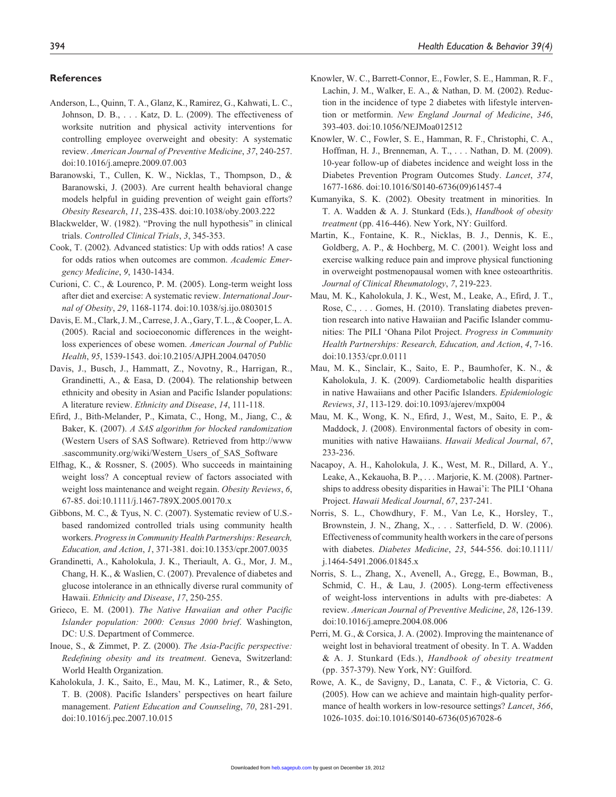#### **References**

- Anderson, L., Quinn, T. A., Glanz, K., Ramirez, G., Kahwati, L. C., Johnson, D. B., . . . Katz, D. L. (2009). The effectiveness of worksite nutrition and physical activity interventions for controlling employee overweight and obesity: A systematic review. *American Journal of Preventive Medicine*, *37*, 240-257. doi:10.1016/j.amepre.2009.07.003
- Baranowski, T., Cullen, K. W., Nicklas, T., Thompson, D., & Baranowski, J. (2003). Are current health behavioral change models helpful in guiding prevention of weight gain efforts? *Obesity Research*, *11*, 23S-43S. doi:10.1038/oby.2003.222
- Blackwelder, W. (1982). "Proving the null hypothesis" in clinical trials. *Controlled Clinical Trials*, *3*, 345-353.
- Cook, T. (2002). Advanced statistics: Up with odds ratios! A case for odds ratios when outcomes are common. *Academic Emergency Medicine*, *9*, 1430-1434.
- Curioni, C. C., & Lourenco, P. M. (2005). Long-term weight loss after diet and exercise: A systematic review. *International Journal of Obesity*, *29*, 1168-1174. doi:10.1038/sj.ijo.0803015
- Davis, E. M., Clark, J. M., Carrese, J. A., Gary, T. L., & Cooper, L. A. (2005). Racial and socioeconomic differences in the weightloss experiences of obese women. *American Journal of Public Health*, *95*, 1539-1543. doi:10.2105/AJPH.2004.047050
- Davis, J., Busch, J., Hammatt, Z., Novotny, R., Harrigan, R., Grandinetti, A., & Easa, D. (2004). The relationship between ethnicity and obesity in Asian and Pacific Islander populations: A literature review. *Ethnicity and Disease*, *14*, 111-118.
- Efird, J., Bith-Melander, P., Kimata, C., Hong, M., Jiang, C., & Baker, K. (2007). *A SAS algorithm for blocked randomization* (Western Users of SAS Software). Retrieved from http://www .sascommunity.org/wiki/Western\_Users\_of\_SAS\_Software
- Elfhag, K., & Rossner, S. (2005). Who succeeds in maintaining weight loss? A conceptual review of factors associated with weight loss maintenance and weight regain. *Obesity Reviews*, *6*, 67-85. doi:10.1111/j.1467-789X.2005.00170.x
- Gibbons, M. C., & Tyus, N. C. (2007). Systematic review of U.S. based randomized controlled trials using community health workers. *Progress in Community Health Partnerships: Research, Education, and Action*, *1*, 371-381. doi:10.1353/cpr.2007.0035
- Grandinetti, A., Kaholokula, J. K., Theriault, A. G., Mor, J. M., Chang, H. K., & Waslien, C. (2007). Prevalence of diabetes and glucose intolerance in an ethnically diverse rural community of Hawaii. *Ethnicity and Disease*, *17*, 250-255.
- Grieco, E. M. (2001). *The Native Hawaiian and other Pacific Islander population: 2000: Census 2000 brief*. Washington, DC: U.S. Department of Commerce.
- Inoue, S., & Zimmet, P. Z. (2000). *The Asia-Pacific perspective: Redefining obesity and its treatment*. Geneva, Switzerland: World Health Organization.
- Kaholokula, J. K., Saito, E., Mau, M. K., Latimer, R., & Seto, T. B. (2008). Pacific Islanders' perspectives on heart failure management. *Patient Education and Counseling*, *70*, 281-291. doi:10.1016/j.pec.2007.10.015
- Knowler, W. C., Barrett-Connor, E., Fowler, S. E., Hamman, R. F., Lachin, J. M., Walker, E. A., & Nathan, D. M. (2002). Reduction in the incidence of type 2 diabetes with lifestyle intervention or metformin. *New England Journal of Medicine*, *346*, 393-403. doi:10.1056/NEJMoa012512
- Knowler, W. C., Fowler, S. E., Hamman, R. F., Christophi, C. A., Hoffman, H. J., Brenneman, A. T., . . . Nathan, D. M. (2009). 10-year follow-up of diabetes incidence and weight loss in the Diabetes Prevention Program Outcomes Study. *Lancet*, *374*, 1677-1686. doi:10.1016/S0140-6736(09)61457-4
- Kumanyika, S. K. (2002). Obesity treatment in minorities. In T. A. Wadden & A. J. Stunkard (Eds.), *Handbook of obesity treatment* (pp. 416-446). New York, NY: Guilford.
- Martin, K., Fontaine, K. R., Nicklas, B. J., Dennis, K. E., Goldberg, A. P., & Hochberg, M. C. (2001). Weight loss and exercise walking reduce pain and improve physical functioning in overweight postmenopausal women with knee osteoarthritis. *Journal of Clinical Rheumatology*, *7*, 219-223.
- Mau, M. K., Kaholokula, J. K., West, M., Leake, A., Efird, J. T., Rose, C., . . . Gomes, H. (2010). Translating diabetes prevention research into native Hawaiian and Pacific Islander communities: The PILI 'Ohana Pilot Project. *Progress in Community Health Partnerships: Research, Education, and Action*, *4*, 7-16. doi:10.1353/cpr.0.0111
- Mau, M. K., Sinclair, K., Saito, E. P., Baumhofer, K. N., & Kaholokula, J. K. (2009). Cardiometabolic health disparities in native Hawaiians and other Pacific Islanders. *Epidemiologic Reviews*, *31*, 113-129. doi:10.1093/ajerev/mxp004
- Mau, M. K., Wong, K. N., Efird, J., West, M., Saito, E. P., & Maddock, J. (2008). Environmental factors of obesity in communities with native Hawaiians. *Hawaii Medical Journal*, *67*, 233-236.
- Nacapoy, A. H., Kaholokula, J. K., West, M. R., Dillard, A. Y., Leake, A., Kekauoha, B. P., . . . Marjorie, K. M. (2008). Partnerships to address obesity disparities in Hawai'i: The PILI 'Ohana Project. *Hawaii Medical Journal*, *67*, 237-241.
- Norris, S. L., Chowdhury, F. M., Van Le, K., Horsley, T., Brownstein, J. N., Zhang, X., . . . Satterfield, D. W. (2006). Effectiveness of community health workers in the care of persons with diabetes. *Diabetes Medicine*, *23*, 544-556. doi:10.1111/ j.1464-5491.2006.01845.x
- Norris, S. L., Zhang, X., Avenell, A., Gregg, E., Bowman, B., Schmid, C. H., & Lau, J. (2005). Long-term effectiveness of weight-loss interventions in adults with pre-diabetes: A review. *American Journal of Preventive Medicine*, *28*, 126-139. doi:10.1016/j.amepre.2004.08.006
- Perri, M. G., & Corsica, J. A. (2002). Improving the maintenance of weight lost in behavioral treatment of obesity. In T. A. Wadden & A. J. Stunkard (Eds.), *Handbook of obesity treatment* (pp. 357-379). New York, NY: Guilford.
- Rowe, A. K., de Savigny, D., Lanata, C. F., & Victoria, C. G. (2005). How can we achieve and maintain high-quality performance of health workers in low-resource settings? *Lancet*, *366*, 1026-1035. doi:10.1016/S0140-6736(05)67028-6